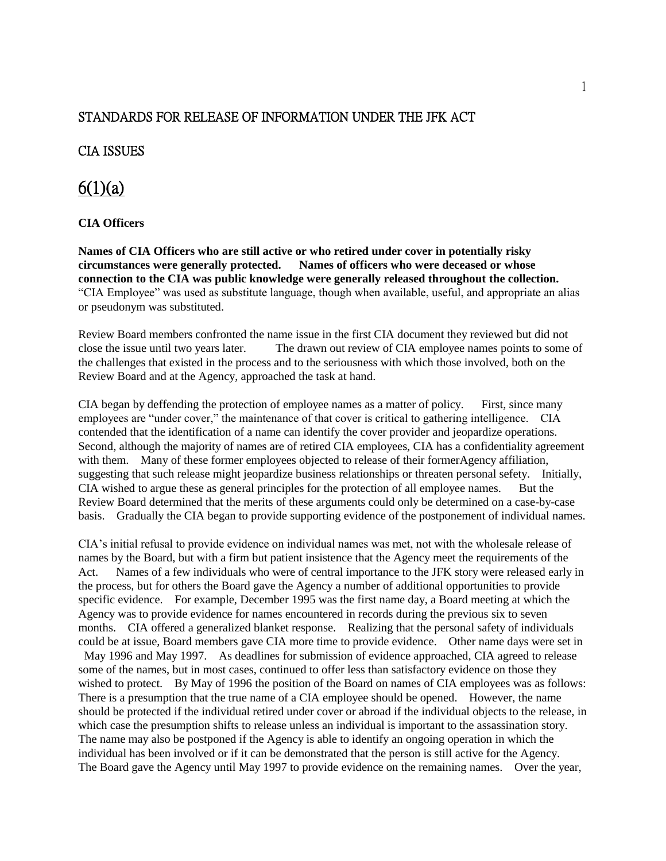# STANDARDS FOR RELEASE OF INFORMATION UNDER THE JFK ACT

# CIA ISSUES

# $6(1)(a)$

# **CIA Officers**

**Names of CIA Officers who are still active or who retired under cover in potentially risky circumstances were generally protected. Names of officers who were deceased or whose connection to the CIA was public knowledge were generally released throughout the collection.** "CIA Employee" was used as substitute language, though when available, useful, and appropriate an alias or pseudonym was substituted.

Review Board members confronted the name issue in the first CIA document they reviewed but did not close the issue until two years later. The drawn out review of CIA employee names points to some of the challenges that existed in the process and to the seriousness with which those involved, both on the Review Board and at the Agency, approached the task at hand.

CIA began by deffending the protection of employee names as a matter of policy. First, since many employees are "under cover," the maintenance of that cover is critical to gathering intelligence. CIA contended that the identification of a name can identify the cover provider and jeopardize operations. Second, although the majority of names are of retired CIA employees, CIA has a confidentiality agreement with them. Many of these former employees objected to release of their formerAgency affiliation, suggesting that such release might jeopardize business relationships or threaten personal sefety. Initially, CIA wished to argue these as general principles for the protection of all employee names. But the Review Board determined that the merits of these arguments could only be determined on a case-by-case basis. Gradually the CIA began to provide supporting evidence of the postponement of individual names.

CIA's initial refusal to provide evidence on individual names was met, not with the wholesale release of names by the Board, but with a firm but patient insistence that the Agency meet the requirements of the Act. Names of a few individuals who were of central importance to the JFK story were released early in the process, but for others the Board gave the Agency a number of additional opportunities to provide specific evidence. For example, December 1995 was the first name day, a Board meeting at which the Agency was to provide evidence for names encountered in records during the previous six to seven months. CIA offered a generalized blanket response. Realizing that the personal safety of individuals could be at issue, Board members gave CIA more time to provide evidence. Other name days were set in May 1996 and May 1997. As deadlines for submission of evidence approached, CIA agreed to release some of the names, but in most cases, continued to offer less than satisfactory evidence on those they wished to protect. By May of 1996 the position of the Board on names of CIA employees was as follows: There is a presumption that the true name of a CIA employee should be opened. However, the name should be protected if the individual retired under cover or abroad if the individual objects to the release, in which case the presumption shifts to release unless an individual is important to the assassination story. The name may also be postponed if the Agency is able to identify an ongoing operation in which the individual has been involved or if it can be demonstrated that the person is still active for the Agency. The Board gave the Agency until May 1997 to provide evidence on the remaining names. Over the year,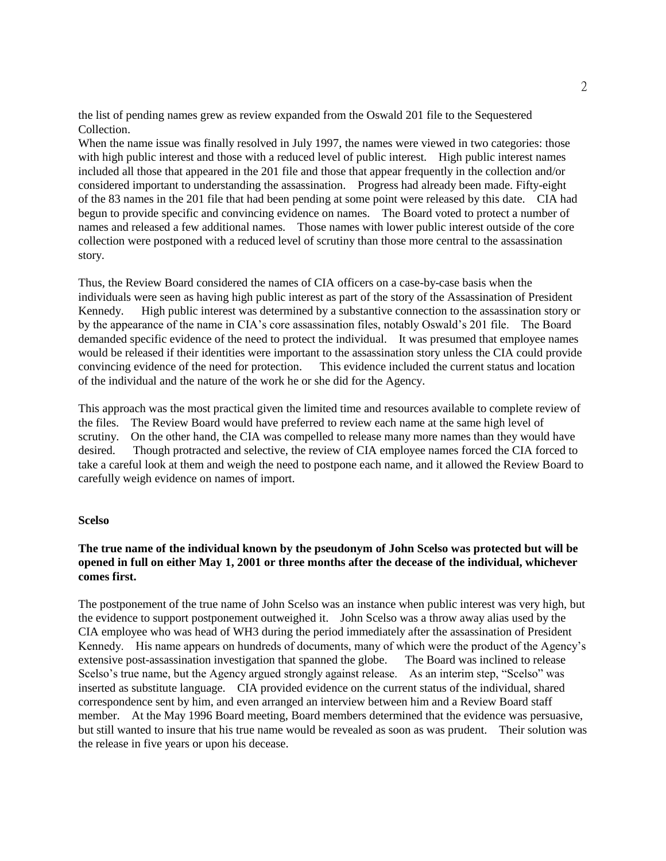the list of pending names grew as review expanded from the Oswald 201 file to the Sequestered Collection.

When the name issue was finally resolved in July 1997, the names were viewed in two categories: those with high public interest and those with a reduced level of public interest. High public interest names included all those that appeared in the 201 file and those that appear frequently in the collection and/or considered important to understanding the assassination. Progress had already been made. Fifty-eight of the 83 names in the 201 file that had been pending at some point were released by this date. CIA had begun to provide specific and convincing evidence on names. The Board voted to protect a number of names and released a few additional names. Those names with lower public interest outside of the core collection were postponed with a reduced level of scrutiny than those more central to the assassination story.

Thus, the Review Board considered the names of CIA officers on a case-by-case basis when the individuals were seen as having high public interest as part of the story of the Assassination of President Kennedy. High public interest was determined by a substantive connection to the assassination story or by the appearance of the name in CIA's core assassination files, notably Oswald's 201 file. The Board demanded specific evidence of the need to protect the individual. It was presumed that employee names would be released if their identities were important to the assassination story unless the CIA could provide convincing evidence of the need for protection. This evidence included the current status and location of the individual and the nature of the work he or she did for the Agency.

This approach was the most practical given the limited time and resources available to complete review of the files. The Review Board would have preferred to review each name at the same high level of scrutiny. On the other hand, the CIA was compelled to release many more names than they would have desired. Though protracted and selective, the review of CIA employee names forced the CIA forced to take a careful look at them and weigh the need to postpone each name, and it allowed the Review Board to carefully weigh evidence on names of import.

# **Scelso**

# **The true name of the individual known by the pseudonym of John Scelso was protected but will be opened in full on either May 1, 2001 or three months after the decease of the individual, whichever comes first.**

The postponement of the true name of John Scelso was an instance when public interest was very high, but the evidence to support postponement outweighed it. John Scelso was a throw away alias used by the CIA employee who was head of WH3 during the period immediately after the assassination of President Kennedy. His name appears on hundreds of documents, many of which were the product of the Agency's extensive post-assassination investigation that spanned the globe. The Board was inclined to release Scelso's true name, but the Agency argued strongly against release. As an interim step, "Scelso" was inserted as substitute language. CIA provided evidence on the current status of the individual, shared correspondence sent by him, and even arranged an interview between him and a Review Board staff member. At the May 1996 Board meeting, Board members determined that the evidence was persuasive, but still wanted to insure that his true name would be revealed as soon as was prudent. Their solution was the release in five years or upon his decease.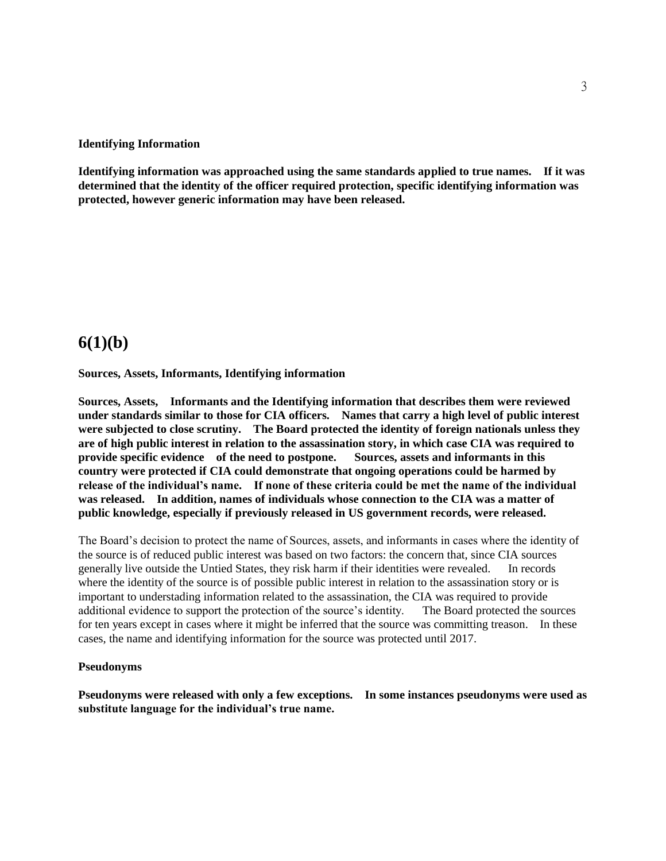#### **Identifying Information**

**Identifying information was approached using the same standards applied to true names. If it was determined that the identity of the officer required protection, specific identifying information was protected, however generic information may have been released.**

# **6(1)(b)**

#### **Sources, Assets, Informants, Identifying information**

**Sources, Assets, Informants and the Identifying information that describes them were reviewed under standards similar to those for CIA officers. Names that carry a high level of public interest were subjected to close scrutiny. The Board protected the identity of foreign nationals unless they are of high public interest in relation to the assassination story, in which case CIA was required to provide specific evidence of the need to postpone. Sources, assets and informants in this country were protected if CIA could demonstrate that ongoing operations could be harmed by release of the individual's name. If none of these criteria could be met the name of the individual was released. In addition, names of individuals whose connection to the CIA was a matter of public knowledge, especially if previously released in US government records, were released.**

The Board's decision to protect the name of Sources, assets, and informants in cases where the identity of the source is of reduced public interest was based on two factors: the concern that, since CIA sources generally live outside the Untied States, they risk harm if their identities were revealed. In records where the identity of the source is of possible public interest in relation to the assassination story or is important to understading information related to the assassination, the CIA was required to provide additional evidence to support the protection of the source's identity.The Board protected the sources for ten years except in cases where it might be inferred that the source was committing treason. In these cases, the name and identifying information for the source was protected until 2017.

#### **Pseudonyms**

**Pseudonyms were released with only a few exceptions. In some instances pseudonyms were used as substitute language for the individual's true name.**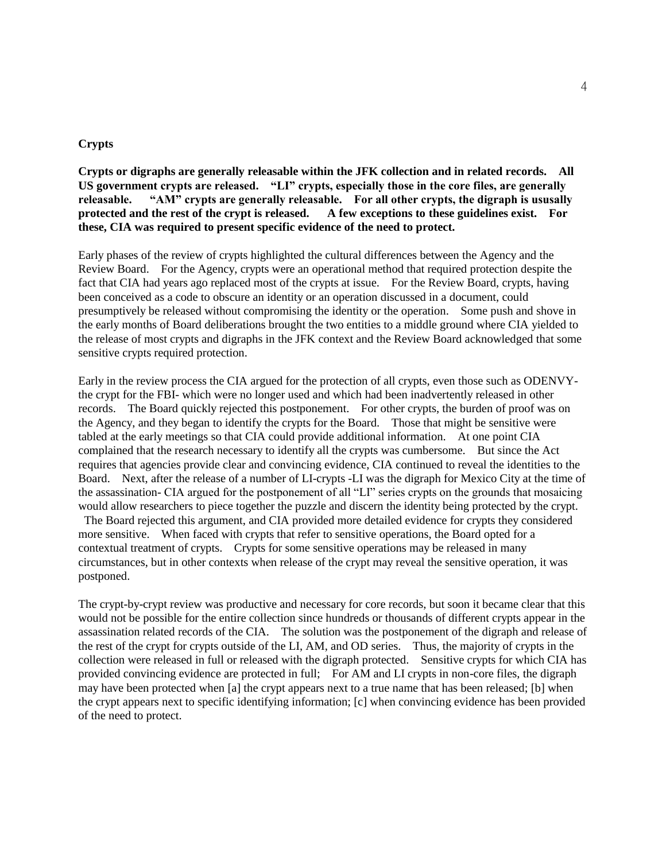# **Crypts**

**Crypts or digraphs are generally releasable within the JFK collection and in related records. All US government crypts are released. "LI" crypts, especially those in the core files, are generally releasable. "AM" crypts are generally releasable. For all other crypts, the digraph is ususally protected and the rest of the crypt is released. A few exceptions to these guidelines exist. For these, CIA was required to present specific evidence of the need to protect.**

Early phases of the review of crypts highlighted the cultural differences between the Agency and the Review Board. For the Agency, crypts were an operational method that required protection despite the fact that CIA had years ago replaced most of the crypts at issue. For the Review Board, crypts, having been conceived as a code to obscure an identity or an operation discussed in a document, could presumptively be released without compromising the identity or the operation. Some push and shove in the early months of Board deliberations brought the two entities to a middle ground where CIA yielded to the release of most crypts and digraphs in the JFK context and the Review Board acknowledged that some sensitive crypts required protection.

Early in the review process the CIA argued for the protection of all crypts, even those such as ODENVYthe crypt for the FBI- which were no longer used and which had been inadvertently released in other records. The Board quickly rejected this postponement. For other crypts, the burden of proof was on the Agency, and they began to identify the crypts for the Board. Those that might be sensitive were tabled at the early meetings so that CIA could provide additional information. At one point CIA complained that the research necessary to identify all the crypts was cumbersome. But since the Act requires that agencies provide clear and convincing evidence, CIA continued to reveal the identities to the Board. Next, after the release of a number of LI-crypts -LI was the digraph for Mexico City at the time of the assassination- CIA argued for the postponement of all "LI" series crypts on the grounds that mosaicing would allow researchers to piece together the puzzle and discern the identity being protected by the crypt. The Board rejected this argument, and CIA provided more detailed evidence for crypts they considered more sensitive. When faced with crypts that refer to sensitive operations, the Board opted for a contextual treatment of crypts. Crypts for some sensitive operations may be released in many circumstances, but in other contexts when release of the crypt may reveal the sensitive operation, it was postponed.

The crypt-by-crypt review was productive and necessary for core records, but soon it became clear that this would not be possible for the entire collection since hundreds or thousands of different crypts appear in the assassination related records of the CIA. The solution was the postponement of the digraph and release of the rest of the crypt for crypts outside of the LI, AM, and OD series. Thus, the majority of crypts in the collection were released in full or released with the digraph protected. Sensitive crypts for which CIA has provided convincing evidence are protected in full; For AM and LI crypts in non-core files, the digraph may have been protected when [a] the crypt appears next to a true name that has been released; [b] when the crypt appears next to specific identifying information; [c] when convincing evidence has been provided of the need to protect.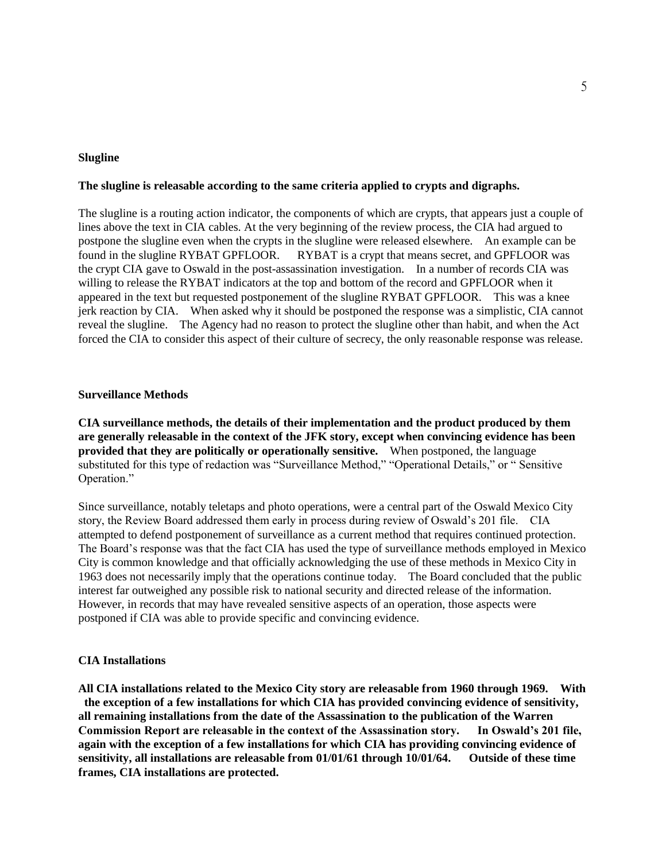#### **Slugline**

# **The slugline is releasable according to the same criteria applied to crypts and digraphs.**

The slugline is a routing action indicator, the components of which are crypts, that appears just a couple of lines above the text in CIA cables. At the very beginning of the review process, the CIA had argued to postpone the slugline even when the crypts in the slugline were released elsewhere. An example can be found in the slugline RYBAT GPFLOOR. RYBAT is a crypt that means secret, and GPFLOOR was the crypt CIA gave to Oswald in the post-assassination investigation. In a number of records CIA was willing to release the RYBAT indicators at the top and bottom of the record and GPFLOOR when it appeared in the text but requested postponement of the slugline RYBAT GPFLOOR. This was a knee jerk reaction by CIA. When asked why it should be postponed the response was a simplistic, CIA cannot reveal the slugline. The Agency had no reason to protect the slugline other than habit, and when the Act forced the CIA to consider this aspect of their culture of secrecy, the only reasonable response was release.

# **Surveillance Methods**

**CIA surveillance methods, the details of their implementation and the product produced by them are generally releasable in the context of the JFK story, except when convincing evidence has been provided that they are politically or operationally sensitive.** When postponed, the language substituted for this type of redaction was "Surveillance Method," "Operational Details," or " Sensitive Operation."

Since surveillance, notably teletaps and photo operations, were a central part of the Oswald Mexico City story, the Review Board addressed them early in process during review of Oswald's 201 file. CIA attempted to defend postponement of surveillance as a current method that requires continued protection. The Board's response was that the fact CIA has used the type of surveillance methods employed in Mexico City is common knowledge and that officially acknowledging the use of these methods in Mexico City in 1963 does not necessarily imply that the operations continue today. The Board concluded that the public interest far outweighed any possible risk to national security and directed release of the information. However, in records that may have revealed sensitive aspects of an operation, those aspects were postponed if CIA was able to provide specific and convincing evidence.

#### **CIA Installations**

**All CIA installations related to the Mexico City story are releasable from 1960 through 1969. With the exception of a few installations for which CIA has provided convincing evidence of sensitivity, all remaining installations from the date of the Assassination to the publication of the Warren Commission Report are releasable in the context of the Assassination story. In Oswald's 201 file, again with the exception of a few installations for which CIA has providing convincing evidence of sensitivity, all installations are releasable from 01/01/61 through 10/01/64. Outside of these time frames, CIA installations are protected.**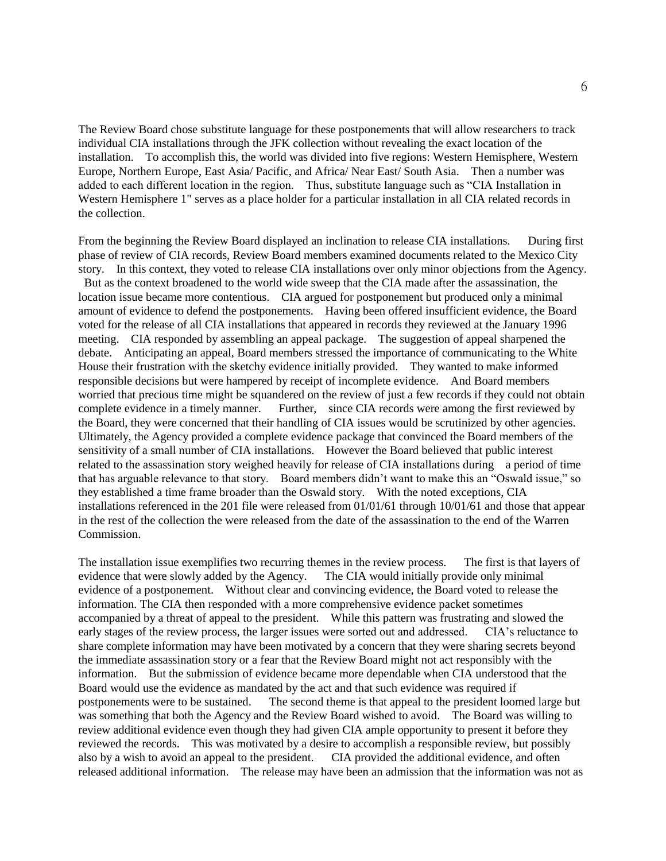The Review Board chose substitute language for these postponements that will allow researchers to track individual CIA installations through the JFK collection without revealing the exact location of the installation. To accomplish this, the world was divided into five regions: Western Hemisphere, Western Europe, Northern Europe, East Asia/ Pacific, and Africa/ Near East/ South Asia. Then a number was added to each different location in the region. Thus, substitute language such as "CIA Installation in Western Hemisphere 1" serves as a place holder for a particular installation in all CIA related records in the collection.

From the beginning the Review Board displayed an inclination to release CIA installations. During first phase of review of CIA records, Review Board members examined documents related to the Mexico City story. In this context, they voted to release CIA installations over only minor objections from the Agency. But as the context broadened to the world wide sweep that the CIA made after the assassination, the location issue became more contentious. CIA argued for postponement but produced only a minimal amount of evidence to defend the postponements. Having been offered insufficient evidence, the Board voted for the release of all CIA installations that appeared in records they reviewed at the January 1996 meeting. CIA responded by assembling an appeal package. The suggestion of appeal sharpened the debate. Anticipating an appeal, Board members stressed the importance of communicating to the White House their frustration with the sketchy evidence initially provided. They wanted to make informed responsible decisions but were hampered by receipt of incomplete evidence. And Board members worried that precious time might be squandered on the review of just a few records if they could not obtain complete evidence in a timely manner. Further, since CIA records were among the first reviewed by the Board, they were concerned that their handling of CIA issues would be scrutinized by other agencies. Ultimately, the Agency provided a complete evidence package that convinced the Board members of the sensitivity of a small number of CIA installations. However the Board believed that public interest related to the assassination story weighed heavily for release of CIA installations during a period of time that has arguable relevance to that story. Board members didn't want to make this an "Oswald issue," so they established a time frame broader than the Oswald story. With the noted exceptions, CIA installations referenced in the 201 file were released from 01/01/61 through 10/01/61 and those that appear in the rest of the collection the were released from the date of the assassination to the end of the Warren Commission.

The installation issue exemplifies two recurring themes in the review process. The first is that layers of evidence that were slowly added by the Agency. The CIA would initially provide only minimal evidence of a postponement. Without clear and convincing evidence, the Board voted to release the information. The CIA then responded with a more comprehensive evidence packet sometimes accompanied by a threat of appeal to the president. While this pattern was frustrating and slowed the early stages of the review process, the larger issues were sorted out and addressed. CIA's reluctance to share complete information may have been motivated by a concern that they were sharing secrets beyond the immediate assassination story or a fear that the Review Board might not act responsibly with the information. But the submission of evidence became more dependable when CIA understood that the Board would use the evidence as mandated by the act and that such evidence was required if postponements were to be sustained. The second theme is that appeal to the president loomed large but was something that both the Agency and the Review Board wished to avoid. The Board was willing to review additional evidence even though they had given CIA ample opportunity to present it before they reviewed the records. This was motivated by a desire to accomplish a responsible review, but possibly also by a wish to avoid an appeal to the president. CIA provided the additional evidence, and often released additional information. The release may have been an admission that the information was not as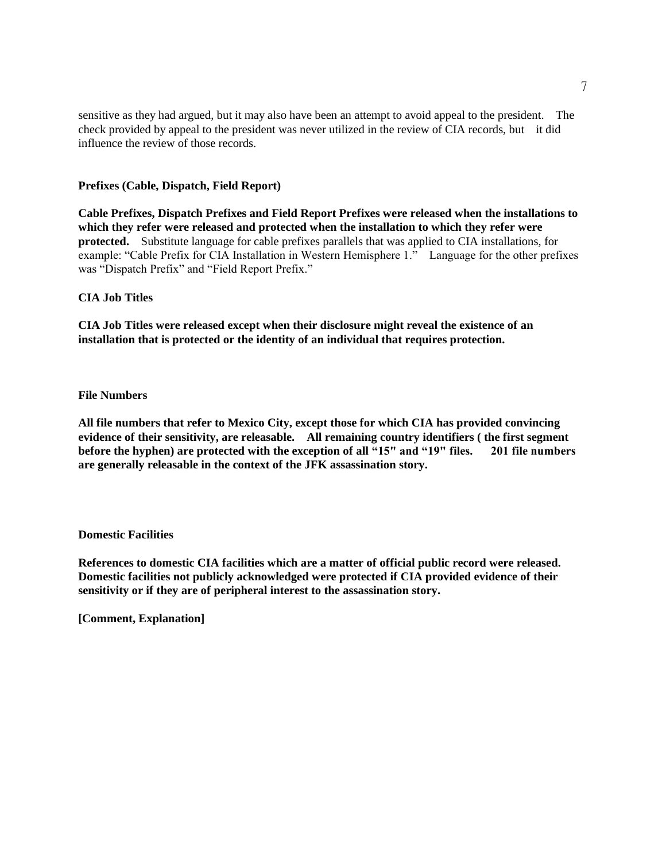sensitive as they had argued, but it may also have been an attempt to avoid appeal to the president. The check provided by appeal to the president was never utilized in the review of CIA records, but it did influence the review of those records.

# **Prefixes (Cable, Dispatch, Field Report)**

**Cable Prefixes, Dispatch Prefixes and Field Report Prefixes were released when the installations to which they refer were released and protected when the installation to which they refer were protected.** Substitute language for cable prefixes parallels that was applied to CIA installations, for example: "Cable Prefix for CIA Installation in Western Hemisphere 1." Language for the other prefixes was "Dispatch Prefix" and "Field Report Prefix."

## **CIA Job Titles**

**CIA Job Titles were released except when their disclosure might reveal the existence of an installation that is protected or the identity of an individual that requires protection.**

## **File Numbers**

**All file numbers that refer to Mexico City, except those for which CIA has provided convincing evidence of their sensitivity, are releasable. All remaining country identifiers ( the first segment before the hyphen) are protected with the exception of all "15" and "19" files. 201 file numbers are generally releasable in the context of the JFK assassination story.**

# **Domestic Facilities**

**References to domestic CIA facilities which are a matter of official public record were released. Domestic facilities not publicly acknowledged were protected if CIA provided evidence of their sensitivity or if they are of peripheral interest to the assassination story.**

**[Comment, Explanation]**